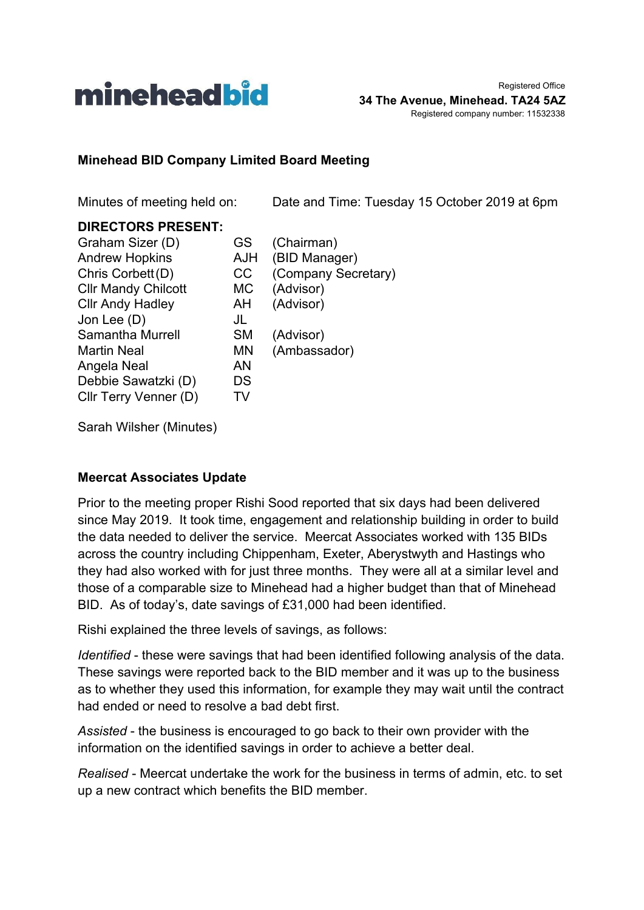

#### **Minehead BID Company Limited Board Meeting**

Minutes of meeting held on: Date and Time: Tuesday 15 October 2019 at 6pm

#### **DIRECTORS PRESENT:**

| GS         | (Chairman)          |
|------------|---------------------|
| <b>AJH</b> | (BID Manager)       |
| СC         | (Company Secretary) |
| МC         | (Advisor)           |
| AH         | (Advisor)           |
| JL         |                     |
| <b>SM</b>  | (Advisor)           |
| MN         | (Ambassador)        |
| ΑN         |                     |
| DS         |                     |
| TV         |                     |
|            |                     |

Sarah Wilsher (Minutes)

#### **Meercat Associates Update**

Prior to the meeting proper Rishi Sood reported that six days had been delivered since May 2019. It took time, engagement and relationship building in order to build the data needed to deliver the service. Meercat Associates worked with 135 BIDs across the country including Chippenham, Exeter, Aberystwyth and Hastings who they had also worked with for just three months. They were all at a similar level and those of a comparable size to Minehead had a higher budget than that of Minehead BID. As of today's, date savings of £31,000 had been identified.

Rishi explained the three levels of savings, as follows:

*Identified* - these were savings that had been identified following analysis of the data. These savings were reported back to the BID member and it was up to the business as to whether they used this information, for example they may wait until the contract had ended or need to resolve a bad debt first.

*Assisted* - the business is encouraged to go back to their own provider with the information on the identified savings in order to achieve a better deal.

*Realised* - Meercat undertake the work for the business in terms of admin, etc. to set up a new contract which benefits the BID member.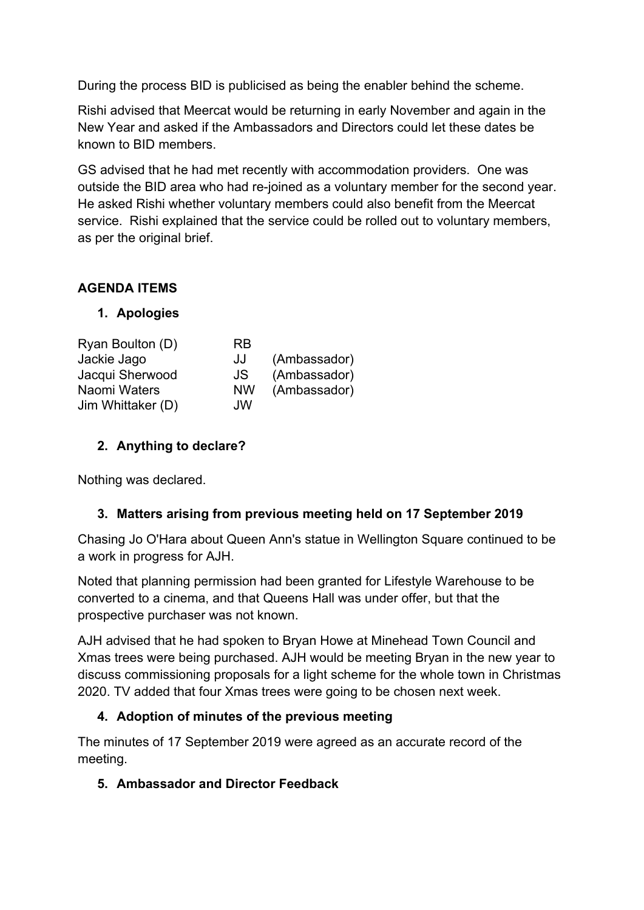During the process BID is publicised as being the enabler behind the scheme.

Rishi advised that Meercat would be returning in early November and again in the New Year and asked if the Ambassadors and Directors could let these dates be known to BID members.

GS advised that he had met recently with accommodation providers. One was outside the BID area who had re-joined as a voluntary member for the second year. He asked Rishi whether voluntary members could also benefit from the Meercat service. Rishi explained that the service could be rolled out to voluntary members, as per the original brief.

## **AGENDA ITEMS**

#### **1. Apologies**

| Ryan Boulton (D)  | <b>RB</b> |              |
|-------------------|-----------|--------------|
| Jackie Jago       | JJ        | (Ambassador) |
| Jacqui Sherwood   | JS        | (Ambassador) |
| Naomi Waters      | <b>NW</b> | (Ambassador) |
| Jim Whittaker (D) | JW        |              |

## **2. Anything to declare?**

Nothing was declared.

## **3. Matters arising from previous meeting held on 17 September 2019**

Chasing Jo O'Hara about Queen Ann's statue in Wellington Square continued to be a work in progress for AJH.

Noted that planning permission had been granted for Lifestyle Warehouse to be converted to a cinema, and that Queens Hall was under offer, but that the prospective purchaser was not known.

AJH advised that he had spoken to Bryan Howe at Minehead Town Council and Xmas trees were being purchased. AJH would be meeting Bryan in the new year to discuss commissioning proposals for a light scheme for the whole town in Christmas 2020. TV added that four Xmas trees were going to be chosen next week.

## **4. Adoption of minutes of the previous meeting**

The minutes of 17 September 2019 were agreed as an accurate record of the meeting.

## **5. Ambassador and Director Feedback**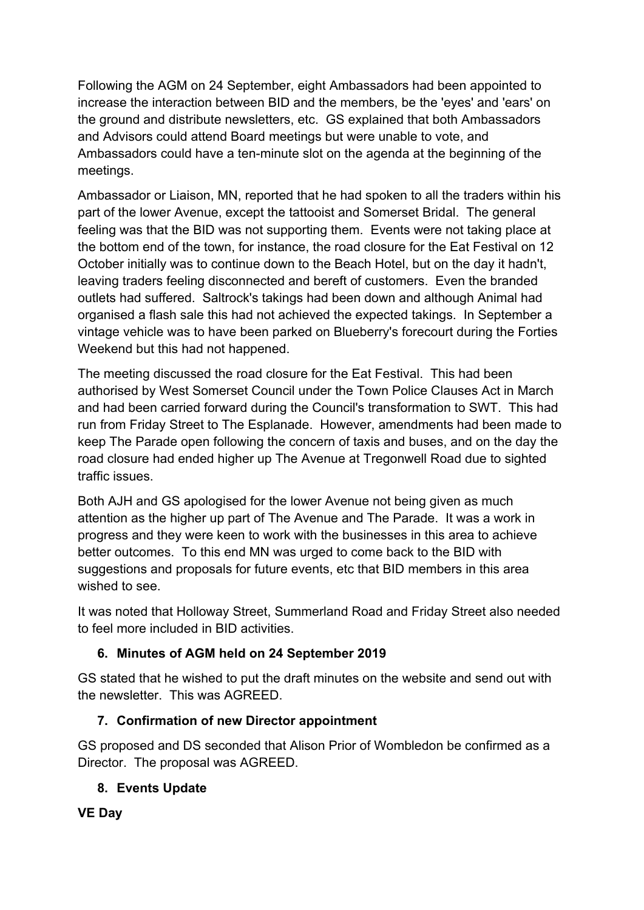Following the AGM on 24 September, eight Ambassadors had been appointed to increase the interaction between BID and the members, be the 'eyes' and 'ears' on the ground and distribute newsletters, etc. GS explained that both Ambassadors and Advisors could attend Board meetings but were unable to vote, and Ambassadors could have a ten-minute slot on the agenda at the beginning of the meetings.

Ambassador or Liaison, MN, reported that he had spoken to all the traders within his part of the lower Avenue, except the tattooist and Somerset Bridal. The general feeling was that the BID was not supporting them. Events were not taking place at the bottom end of the town, for instance, the road closure for the Eat Festival on 12 October initially was to continue down to the Beach Hotel, but on the day it hadn't, leaving traders feeling disconnected and bereft of customers. Even the branded outlets had suffered. Saltrock's takings had been down and although Animal had organised a flash sale this had not achieved the expected takings. In September a vintage vehicle was to have been parked on Blueberry's forecourt during the Forties Weekend but this had not happened.

The meeting discussed the road closure for the Eat Festival. This had been authorised by West Somerset Council under the Town Police Clauses Act in March and had been carried forward during the Council's transformation to SWT. This had run from Friday Street to The Esplanade. However, amendments had been made to keep The Parade open following the concern of taxis and buses, and on the day the road closure had ended higher up The Avenue at Tregonwell Road due to sighted traffic issues.

Both AJH and GS apologised for the lower Avenue not being given as much attention as the higher up part of The Avenue and The Parade. It was a work in progress and they were keen to work with the businesses in this area to achieve better outcomes. To this end MN was urged to come back to the BID with suggestions and proposals for future events, etc that BID members in this area wished to see.

It was noted that Holloway Street, Summerland Road and Friday Street also needed to feel more included in BID activities.

# **6. Minutes of AGM held on 24 September 2019**

GS stated that he wished to put the draft minutes on the website and send out with the newsletter. This was AGREED.

# **7. Confirmation of new Director appointment**

GS proposed and DS seconded that Alison Prior of Wombledon be confirmed as a Director. The proposal was AGREED.

## **8. Events Update**

## **VE Day**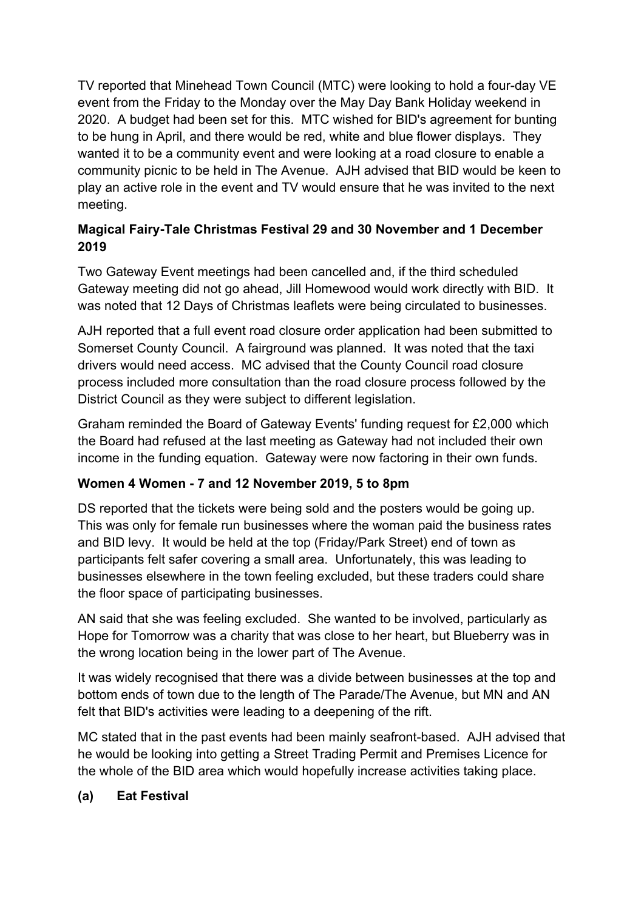TV reported that Minehead Town Council (MTC) were looking to hold a four-day VE event from the Friday to the Monday over the May Day Bank Holiday weekend in 2020. A budget had been set for this. MTC wished for BID's agreement for bunting to be hung in April, and there would be red, white and blue flower displays. They wanted it to be a community event and were looking at a road closure to enable a community picnic to be held in The Avenue. AJH advised that BID would be keen to play an active role in the event and TV would ensure that he was invited to the next meeting.

## **Magical Fairy-Tale Christmas Festival 29 and 30 November and 1 December 2019**

Two Gateway Event meetings had been cancelled and, if the third scheduled Gateway meeting did not go ahead, Jill Homewood would work directly with BID. It was noted that 12 Days of Christmas leaflets were being circulated to businesses.

AJH reported that a full event road closure order application had been submitted to Somerset County Council. A fairground was planned. It was noted that the taxi drivers would need access. MC advised that the County Council road closure process included more consultation than the road closure process followed by the District Council as they were subject to different legislation.

Graham reminded the Board of Gateway Events' funding request for £2,000 which the Board had refused at the last meeting as Gateway had not included their own income in the funding equation. Gateway were now factoring in their own funds.

# **Women 4 Women - 7 and 12 November 2019, 5 to 8pm**

DS reported that the tickets were being sold and the posters would be going up. This was only for female run businesses where the woman paid the business rates and BID levy. It would be held at the top (Friday/Park Street) end of town as participants felt safer covering a small area. Unfortunately, this was leading to businesses elsewhere in the town feeling excluded, but these traders could share the floor space of participating businesses.

AN said that she was feeling excluded. She wanted to be involved, particularly as Hope for Tomorrow was a charity that was close to her heart, but Blueberry was in the wrong location being in the lower part of The Avenue.

It was widely recognised that there was a divide between businesses at the top and bottom ends of town due to the length of The Parade/The Avenue, but MN and AN felt that BID's activities were leading to a deepening of the rift.

MC stated that in the past events had been mainly seafront-based. AJH advised that he would be looking into getting a Street Trading Permit and Premises Licence for the whole of the BID area which would hopefully increase activities taking place.

## **(a) Eat Festival**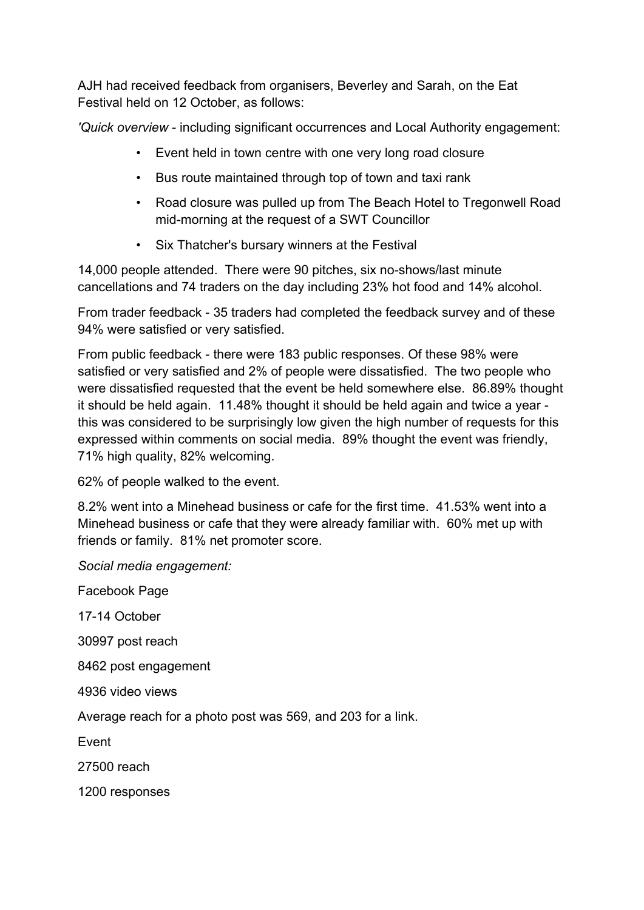AJH had received feedback from organisers, Beverley and Sarah, on the Eat Festival held on 12 October, as follows:

*'Quick overview* - including significant occurrences and Local Authority engagement:

- Event held in town centre with one very long road closure
- Bus route maintained through top of town and taxi rank
- Road closure was pulled up from The Beach Hotel to Tregonwell Road mid-morning at the request of a SWT Councillor
- Six Thatcher's bursary winners at the Festival

14,000 people attended. There were 90 pitches, six no-shows/last minute cancellations and 74 traders on the day including 23% hot food and 14% alcohol.

From trader feedback - 35 traders had completed the feedback survey and of these 94% were satisfied or very satisfied.

From public feedback - there were 183 public responses. Of these 98% were satisfied or very satisfied and 2% of people were dissatisfied. The two people who were dissatisfied requested that the event be held somewhere else. 86.89% thought it should be held again. 11.48% thought it should be held again and twice a year this was considered to be surprisingly low given the high number of requests for this expressed within comments on social media. 89% thought the event was friendly, 71% high quality, 82% welcoming.

62% of people walked to the event.

8.2% went into a Minehead business or cafe for the first time. 41.53% went into a Minehead business or cafe that they were already familiar with. 60% met up with friends or family. 81% net promoter score.

*Social media engagement:*

Facebook Page

17-14 October

30997 post reach

8462 post engagement

4936 video views

Average reach for a photo post was 569, and 203 for a link.

Event

27500 reach

1200 responses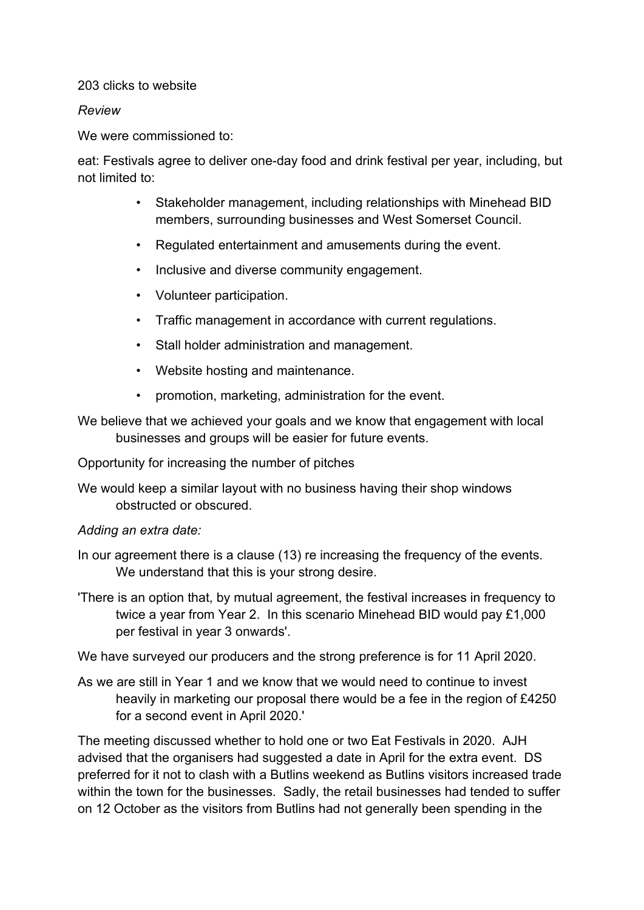#### 203 clicks to website

#### *Review*

We were commissioned to:

eat: Festivals agree to deliver one-day food and drink festival per year, including, but not limited to:

- Stakeholder management, including relationships with Minehead BID members, surrounding businesses and West Somerset Council.
- Regulated entertainment and amusements during the event.
- Inclusive and diverse community engagement.
- Volunteer participation.
- Traffic management in accordance with current regulations.
- Stall holder administration and management.
- Website hosting and maintenance.
- promotion, marketing, administration for the event.

We believe that we achieved your goals and we know that engagement with local businesses and groups will be easier for future events.

Opportunity for increasing the number of pitches

We would keep a similar layout with no business having their shop windows obstructed or obscured.

#### *Adding an extra date:*

- In our agreement there is a clause (13) re increasing the frequency of the events. We understand that this is your strong desire.
- 'There is an option that, by mutual agreement, the festival increases in frequency to twice a year from Year 2. In this scenario Minehead BID would pay £1,000 per festival in year 3 onwards'.

We have surveyed our producers and the strong preference is for 11 April 2020.

As we are still in Year 1 and we know that we would need to continue to invest heavily in marketing our proposal there would be a fee in the region of £4250 for a second event in April 2020.'

The meeting discussed whether to hold one or two Eat Festivals in 2020. AJH advised that the organisers had suggested a date in April for the extra event. DS preferred for it not to clash with a Butlins weekend as Butlins visitors increased trade within the town for the businesses. Sadly, the retail businesses had tended to suffer on 12 October as the visitors from Butlins had not generally been spending in the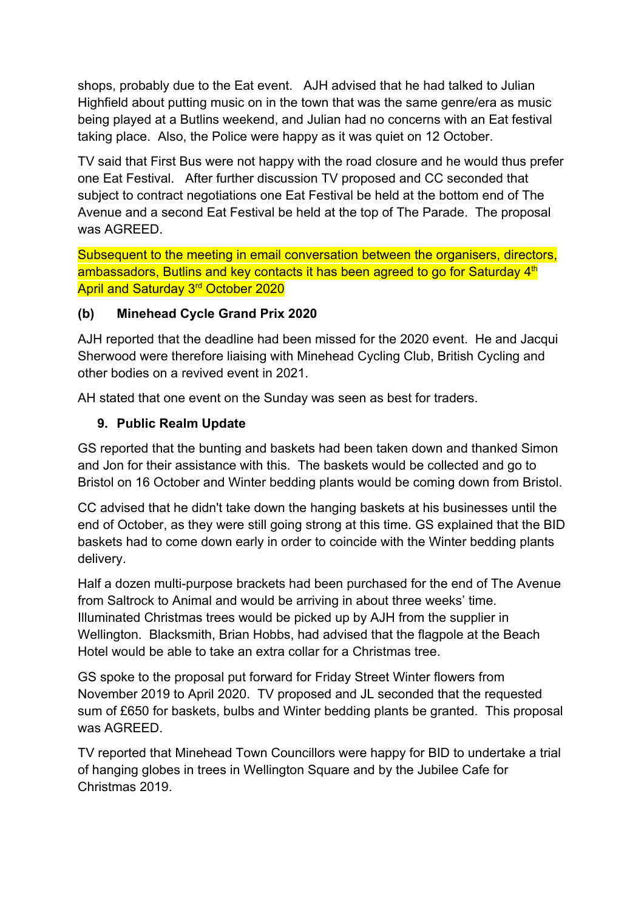shops, probably due to the Eat event. AJH advised that he had talked to Julian Highfield about putting music on in the town that was the same genre/era as music being played at a Butlins weekend, and Julian had no concerns with an Eat festival taking place. Also, the Police were happy as it was quiet on 12 October.

TV said that First Bus were not happy with the road closure and he would thus prefer one Eat Festival. After further discussion TV proposed and CC seconded that subject to contract negotiations one Eat Festival be held at the bottom end of The Avenue and a second Eat Festival be held at the top of The Parade. The proposal was AGREED.

Subsequent to the meeting in email conversation between the organisers, directors, ambassadors, Butlins and key contacts it has been agreed to go for Saturday 4<sup>th</sup> April and Saturday 3<sup>rd</sup> October 2020

## **(b) Minehead Cycle Grand Prix 2020**

AJH reported that the deadline had been missed for the 2020 event. He and Jacqui Sherwood were therefore liaising with Minehead Cycling Club, British Cycling and other bodies on a revived event in 2021.

AH stated that one event on the Sunday was seen as best for traders.

#### **9. Public Realm Update**

GS reported that the bunting and baskets had been taken down and thanked Simon and Jon for their assistance with this. The baskets would be collected and go to Bristol on 16 October and Winter bedding plants would be coming down from Bristol.

CC advised that he didn't take down the hanging baskets at his businesses until the end of October, as they were still going strong at this time. GS explained that the BID baskets had to come down early in order to coincide with the Winter bedding plants delivery.

Half a dozen multi-purpose brackets had been purchased for the end of The Avenue from Saltrock to Animal and would be arriving in about three weeks' time. Illuminated Christmas trees would be picked up by AJH from the supplier in Wellington. Blacksmith, Brian Hobbs, had advised that the flagpole at the Beach Hotel would be able to take an extra collar for a Christmas tree.

GS spoke to the proposal put forward for Friday Street Winter flowers from November 2019 to April 2020. TV proposed and JL seconded that the requested sum of £650 for baskets, bulbs and Winter bedding plants be granted. This proposal was AGREED.

TV reported that Minehead Town Councillors were happy for BID to undertake a trial of hanging globes in trees in Wellington Square and by the Jubilee Cafe for Christmas 2019.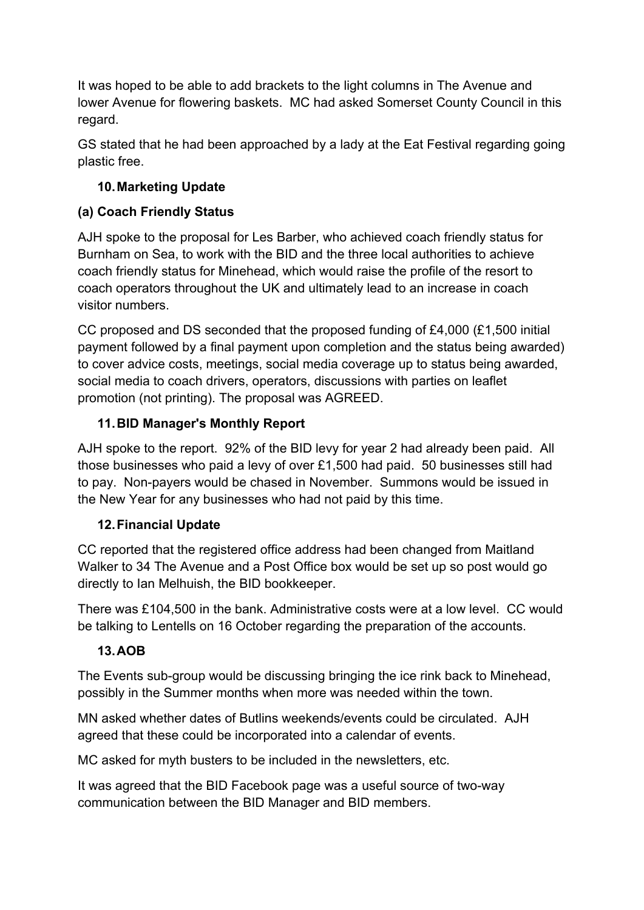It was hoped to be able to add brackets to the light columns in The Avenue and lower Avenue for flowering baskets. MC had asked Somerset County Council in this regard.

GS stated that he had been approached by a lady at the Eat Festival regarding going plastic free.

# **10.Marketing Update**

# **(a) Coach Friendly Status**

AJH spoke to the proposal for Les Barber, who achieved coach friendly status for Burnham on Sea, to work with the BID and the three local authorities to achieve coach friendly status for Minehead, which would raise the profile of the resort to coach operators throughout the UK and ultimately lead to an increase in coach visitor numbers.

CC proposed and DS seconded that the proposed funding of £4,000 (£1,500 initial payment followed by a final payment upon completion and the status being awarded) to cover advice costs, meetings, social media coverage up to status being awarded, social media to coach drivers, operators, discussions with parties on leaflet promotion (not printing). The proposal was AGREED.

# **11.BID Manager's Monthly Report**

AJH spoke to the report. 92% of the BID levy for year 2 had already been paid. All those businesses who paid a levy of over £1,500 had paid. 50 businesses still had to pay. Non-payers would be chased in November. Summons would be issued in the New Year for any businesses who had not paid by this time.

## **12.Financial Update**

CC reported that the registered office address had been changed from Maitland Walker to 34 The Avenue and a Post Office box would be set up so post would go directly to Ian Melhuish, the BID bookkeeper.

There was £104,500 in the bank. Administrative costs were at a low level. CC would be talking to Lentells on 16 October regarding the preparation of the accounts.

## **13.AOB**

The Events sub-group would be discussing bringing the ice rink back to Minehead, possibly in the Summer months when more was needed within the town.

MN asked whether dates of Butlins weekends/events could be circulated. AJH agreed that these could be incorporated into a calendar of events.

MC asked for myth busters to be included in the newsletters, etc.

It was agreed that the BID Facebook page was a useful source of two-way communication between the BID Manager and BID members.